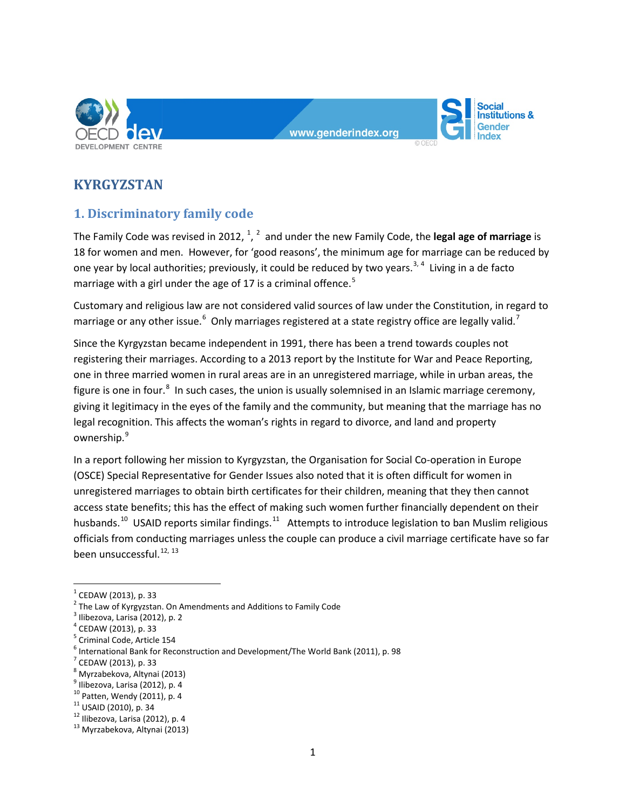

#### www.genderindex.org



# **KYRGYZSTAN**

# **1. Discriminatory family code**

The Family Code was revised in 20[1](#page-0-0)[2](#page-0-1), <sup>1</sup>, <sup>2</sup> and under the new Family Code, the **legal age of marriage** is 18 for women and men. However, for 'good reasons', the minimum age for marriage can be reduced by one year by local authorities; previously, it could be reduced by two years.<sup>[3,](#page-0-2) [4](#page-0-3)</sup> Living in a de facto marriage with a girl under the age of 17 is a criminal offence.<sup>[5](#page-0-4)</sup>

Customary and religious law are not considered valid sources of law under the Constitution, in regard to marriage or any other issue.<sup>[6](#page-0-5)</sup> Only marriages registered at a state registry office are legally valid.<sup>[7](#page-0-6)</sup>

Since the Kyrgyzstan became independent in 1991, there has been a trend towards couples not registering their marriages. According to a 2013 report by the Institute for War and Peace Reporting, one in three married women in rural areas are in an unregistered marriage, while in urban areas, the figure is one in four.<sup>[8](#page-0-7)</sup> In such cases, the union is usually solemnised in an Islamic marriage ceremony, giving it legitimacy in the eyes of the family and the community, but meaning that the marriage has no legal recognition. This affects the woman's rights in regard to divorce, and land and property ownership.<sup>[9](#page-0-8)</sup>

In a report following her mission to Kyrgyzstan, the Organisation for Social Co-operation in Europe (OSCE) Special Representative for Gender Issues also noted that it is often difficult for women in unregistered marriages to obtain birth certificates for their children, meaning that they then cannot access state benefits; this has the effect of making such women further financially dependent on their husbands.<sup>[10](#page-0-9)</sup> USAID reports similar findings.<sup>[11](#page-0-10)</sup> Attempts to introduce legislation to ban Muslim religious officials from conducting marriages unless the couple can produce a civil marriage certificate have so far been unsuccessful.  $12, 13$  $12, 13$  $12, 13$ 

- <span id="page-0-7"></span>
- <span id="page-0-8"></span><sup>9</sup> Ilibezova, Larisa (2012), p. 4<br><sup>10</sup> Patten, Wendy (2011), p. 4

<span id="page-0-1"></span><span id="page-0-0"></span><sup>&</sup>lt;sup>1</sup> CEDAW (2013), p. 33<br>
<sup>2</sup> The Law of Kyrgyzstan. On Amendments and Additions to Family Code<br>
<sup>3</sup> Ilibezova, Larisa (2012), p. 2<br>
<sup>4</sup> CEDAW (2013), p. 33

<span id="page-0-2"></span>

<span id="page-0-5"></span><span id="page-0-4"></span><span id="page-0-3"></span><sup>&</sup>lt;sup>5</sup> Criminal Code, Article 154<br>
<sup>6</sup> International Bank for Reconstruction and Development/The World Bank (2011), p. 98<br>
<sup>7</sup> CEDAW (2013), p. 33<br>
<sup>8</sup> Myrzabekova, Altynai (2013)

<span id="page-0-6"></span>

<span id="page-0-11"></span><span id="page-0-10"></span><span id="page-0-9"></span><sup>&</sup>lt;sup>11</sup> USAID (2010), p. 34<br><sup>12</sup> Ilibezova, Larisa (2012), p. 4<br><sup>13</sup> Myrzabekova, Altynai (2013)

<span id="page-0-12"></span>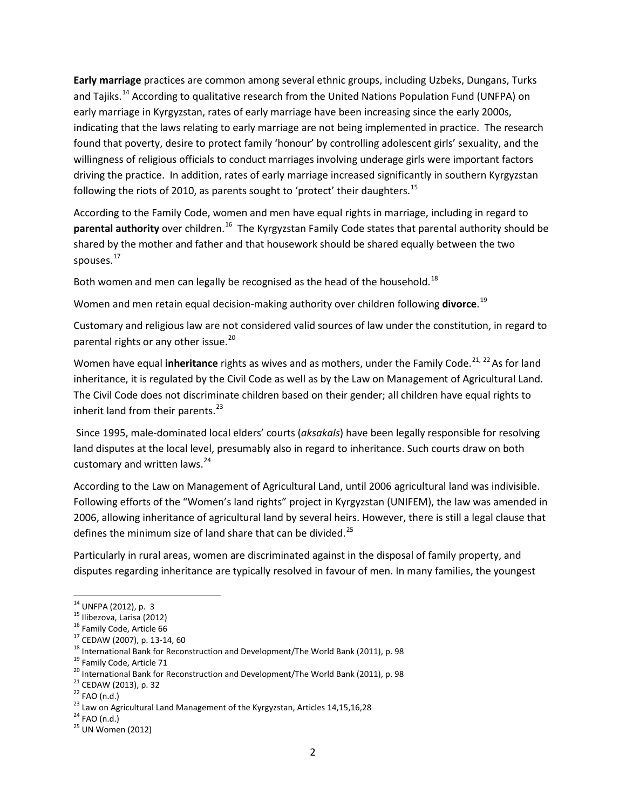**Early marriage** practices are common among several ethnic groups, including Uzbeks, Dungans, Turks and Tajiks.<sup>[14](#page-1-0)</sup> According to qualitative research from the United Nations Population Fund (UNFPA) on early marriage in Kyrgyzstan, rates of early marriage have been increasing since the early 2000s, indicating that the laws relating to early marriage are not being implemented in practice. The research found that poverty, desire to protect family 'honour' by controlling adolescent girls' sexuality, and the willingness of religious officials to conduct marriages involving underage girls were important factors driving the practice. In addition, rates of early marriage increased significantly in southern Kyrgyzstan following the riots of 2010, as parents sought to 'protect' their daughters.<sup>15</sup>

According to the Family Code, women and men have equal rights in marriage, including in regard to **parental authority** over children.<sup>[16](#page-1-2)</sup> The Kyrgyzstan Family Code states that parental authority should be shared by the mother and father and that housework should be shared equally between the two spouses.<sup>[17](#page-1-3)</sup>

Both women and men can legally be recognised as the head of the household.<sup>[18](#page-1-4)</sup>

Women and men retain equal decision-making authority over children following **divorce**. [19](#page-1-5)

Customary and religious law are not considered valid sources of law under the constitution, in regard to parental rights or any other issue.<sup>[20](#page-1-6)</sup>

Women have equal **inheritance** rights as wives and as mothers, under the Family Code.<sup>[21,](#page-1-7) [22](#page-1-8)</sup> As for land inheritance, it is regulated by the Civil Code as well as by the Law on Management of Agricultural Land. The Civil Code does not discriminate children based on their gender; all children have equal rights to inherit land from their parents. $^{23}$  $^{23}$  $^{23}$ 

Since 1995, male-dominated local elders' courts (*aksakals*) have been legally responsible for resolving land disputes at the local level, presumably also in regard to inheritance. Such courts draw on both customary and written laws.<sup>[24](#page-1-10)</sup>

According to the Law on Management of Agricultural Land, until 2006 agricultural land was indivisible. Following efforts of the "Women's land rights" project in Kyrgyzstan (UNIFEM), the law was amended in 2006, allowing inheritance of agricultural land by several heirs. However, there is still a legal clause that defines the minimum size of land share that can be divided. $^{25}$  $^{25}$  $^{25}$ 

Particularly in rural areas, women are discriminated against in the disposal of family property, and disputes regarding inheritance are typically resolved in favour of men. In many families, the youngest

<span id="page-1-0"></span>

<span id="page-1-1"></span>

<span id="page-1-2"></span>

<span id="page-1-3"></span>

<sup>&</sup>lt;sup>14</sup> UNFPA (2012), p. 3<br><sup>15</sup> llibezova, Larisa (2012)<br><sup>16</sup> Family Code, Article 66<br><sup>17</sup> CEDAW (2007), p. 13-14, 60<br><sup>18</sup> International Bank for Reconstruction and Development/The World Bank (2011), p. 98<br><sup>19</sup> Family Code,

<span id="page-1-5"></span><span id="page-1-4"></span>

<span id="page-1-6"></span>

<span id="page-1-7"></span>

<span id="page-1-9"></span><span id="page-1-8"></span>

<span id="page-1-10"></span>

<span id="page-1-11"></span>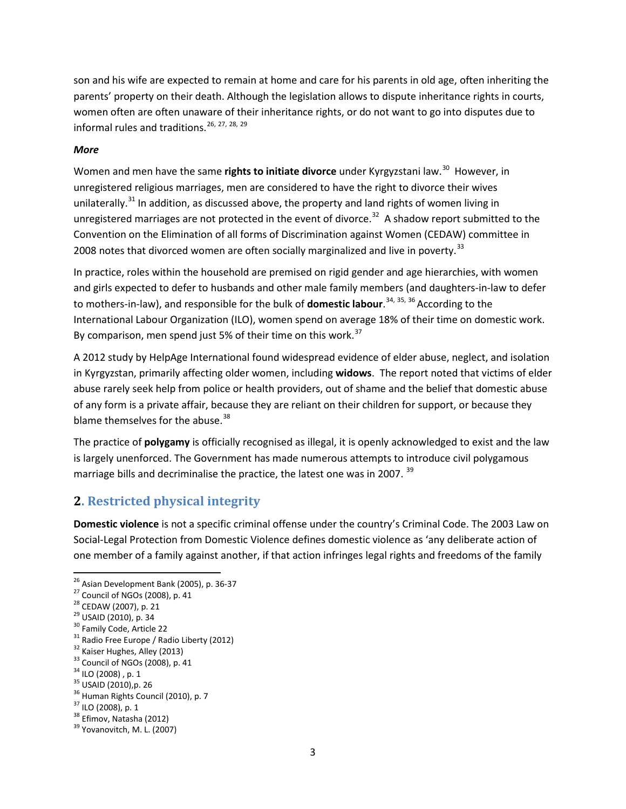son and his wife are expected to remain at home and care for his parents in old age, often inheriting the parents' property on their death. Although the legislation allows to dispute inheritance rights in courts, women often are often unaware of their inheritance rights, or do not want to go into disputes due to informal rules and traditions.<sup>[26,](#page-2-0) [27](#page-2-1), [28](#page-2-2), [29](#page-2-3)</sup>

#### *More*

Women and men have the same **rights to initiate divorce** under Kyrgyzstani law.<sup>30</sup> However, in unregistered religious marriages, men are considered to have the right to divorce their wives unilaterally.<sup>[31](#page-2-5)</sup> In addition, as discussed above, the property and land rights of women living in unregistered marriages are not protected in the event of divorce.<sup>[32](#page-2-6)</sup> A shadow report submitted to the Convention on the Elimination of all forms of Discrimination against Women (CEDAW) committee in 2008 notes that divorced women are often socially marginalized and live in poverty.<sup>[33](#page-2-7)</sup>

In practice, roles within the household are premised on rigid gender and age hierarchies, with women and girls expected to defer to husbands and other male family members (and daughters-in-law to defer to mothers-in-law), and responsible for the bulk of **domestic labour**.<sup>[34,](#page-2-8) [35,](#page-2-9) [36](#page-2-10)</sup> According to the International Labour Organization (ILO), women spend on average 18% of their time on domestic work. By comparison, men spend just 5% of their time on this work. $37$ 

A 2012 study by HelpAge International found widespread evidence of elder abuse, neglect, and isolation in Kyrgyzstan, primarily affecting older women, including **widows**. The report noted that victims of elder abuse rarely seek help from police or health providers, out of shame and the belief that domestic abuse of any form is a private affair, because they are reliant on their children for support, or because they blame themselves for the abuse.<sup>[38](#page-2-12)</sup>

The practice of **polygamy** is officially recognised as illegal, it is openly acknowledged to exist and the law is largely unenforced. The Government has made numerous attempts to introduce civil polygamous marriage bills and decriminalise the practice, the latest one was in 2007.<sup>[39](#page-2-13)</sup>

### **2. Restricted physical integrity**

**Domestic violence** is not a specific criminal offense under the country's Criminal Code. The 2003 Law on Social-Legal Protection from Domestic Violence defines domestic violence as 'any deliberate action of one member of a family against another, if that action infringes legal rights and freedoms of the family

<sup>&</sup>lt;sup>26</sup> Asian Development Bank (2005), p. 36-37<br><sup>27</sup> Council of NGOs (2008), p. 41<br><sup>28</sup> CEDAW (2007), p. 21<br><sup>29</sup> USAID (2010), p. 34<br><sup>30</sup> Family Code, Article 22<br><sup>31</sup> Radio Free Europe / Radio Liberty (2012)<br><sup>32</sup> Kaiser Hugh

<span id="page-2-1"></span><span id="page-2-0"></span>

<span id="page-2-2"></span>

<span id="page-2-3"></span>

<span id="page-2-4"></span>

<span id="page-2-5"></span>

<span id="page-2-6"></span>

<span id="page-2-9"></span><span id="page-2-8"></span><span id="page-2-7"></span>

<span id="page-2-12"></span><span id="page-2-11"></span><span id="page-2-10"></span>

<span id="page-2-13"></span>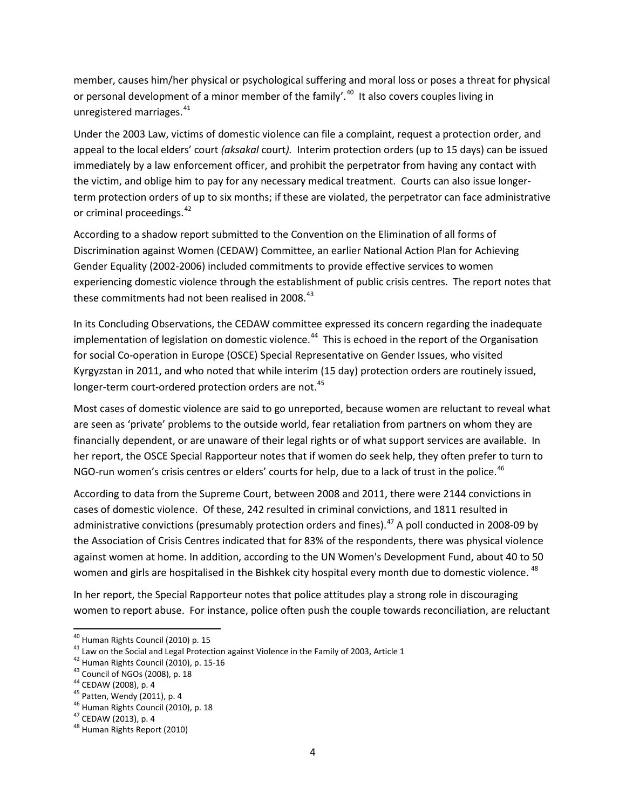member, causes him/her physical or psychological suffering and moral loss or poses a threat for physical or personal development of a minor member of the family'.<sup>[40](#page-3-0)</sup> It also covers couples living in unregistered marriages.<sup>[41](#page-3-1)</sup>

Under the 2003 Law, victims of domestic violence can file a complaint, request a protection order, and appeal to the local elders' court *(aksakal* court*).* Interim protection orders (up to 15 days) can be issued immediately by a law enforcement officer, and prohibit the perpetrator from having any contact with the victim, and oblige him to pay for any necessary medical treatment. Courts can also issue longerterm protection orders of up to six months; if these are violated, the perpetrator can face administrative or criminal proceedings.<sup>[42](#page-3-2)</sup>

According to a shadow report submitted to the Convention on the Elimination of all forms of Discrimination against Women (CEDAW) Committee, an earlier National Action Plan for Achieving Gender Equality (2002-2006) included commitments to provide effective services to women experiencing domestic violence through the establishment of public crisis centres. The report notes that these commitments had not been realised in 2008.<sup>[43](#page-3-3)</sup>

In its Concluding Observations, the CEDAW committee expressed its concern regarding the inadequate implementation of legislation on domestic violence.<sup>[44](#page-3-4)</sup> This is echoed in the report of the Organisation for social Co-operation in Europe (OSCE) Special Representative on Gender Issues, who visited Kyrgyzstan in 2011, and who noted that while interim (15 day) protection orders are routinely issued, longer-term court-ordered protection orders are not.<sup>[45](#page-3-5)</sup>

Most cases of domestic violence are said to go unreported, because women are reluctant to reveal what are seen as 'private' problems to the outside world, fear retaliation from partners on whom they are financially dependent, or are unaware of their legal rights or of what support services are available. In her report, the OSCE Special Rapporteur notes that if women do seek help, they often prefer to turn to NGO-run women's crisis centres or elders' courts for help, due to a lack of trust in the police.<sup>[46](#page-3-6)</sup>

According to data from the Supreme Court, between 2008 and 2011, there were 2144 convictions in cases of domestic violence. Of these, 242 resulted in criminal convictions, and 1811 resulted in administrative convictions (presumably protection orders and fines). $^{47}$  $^{47}$  $^{47}$  A poll conducted in 2008-09 by the Association of Crisis Centres indicated that for 83% of the respondents, there was physical violence against women at home. In addition, according to the UN Women's Development Fund, about 40 to 50 women and girls are hospitalised in the Bishkek city hospital every month due to domestic violence. <sup>[48](#page-3-8)</sup>

In her report, the Special Rapporteur notes that police attitudes play a strong role in discouraging women to report abuse. For instance, police often push the couple towards reconciliation, are reluctant

<span id="page-3-1"></span><span id="page-3-0"></span><sup>&</sup>lt;sup>40</sup> Human Rights Council (2010) p. 15<br><sup>41</sup> Law on the Social and Legal Protection against Violence in the Family of 2003, Article 1<br><sup>42</sup> Human Rights Council (2010), p. 15-16<br><sup>43</sup> Council of NGOs (2008), p. 18<br><sup>44</sup> CEDAW

<span id="page-3-2"></span>

<span id="page-3-3"></span>

<span id="page-3-4"></span>

<span id="page-3-5"></span>

<span id="page-3-6"></span>

<span id="page-3-8"></span><span id="page-3-7"></span>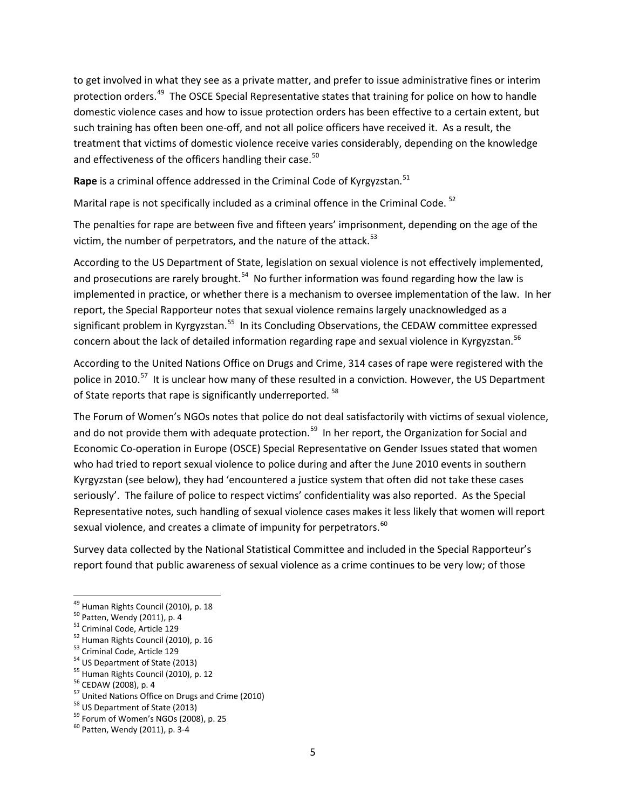to get involved in what they see as a private matter, and prefer to issue administrative fines or interim protection orders.<sup>49</sup> The OSCE Special Representative states that training for police on how to handle domestic violence cases and how to issue protection orders has been effective to a certain extent, but such training has often been one-off, and not all police officers have received it. As a result, the treatment that victims of domestic violence receive varies considerably, depending on the knowledge and effectiveness of the officers handling their case.<sup>[50](#page-4-1)</sup>

Rape is a criminal offence addressed in the Criminal Code of Kyrgyzstan.<sup>[51](#page-4-2)</sup>

Marital rape is not specifically included as a criminal offence in the Criminal Code.<sup>[52](#page-4-3)</sup>

The penalties for rape are between five and fifteen years' imprisonment, depending on the age of the victim, the number of perpetrators, and the nature of the attack.<sup>[53](#page-4-4)</sup>

According to the US Department of State, legislation on sexual violence is not effectively implemented, and prosecutions are rarely brought.<sup>[54](#page-4-5)</sup> No further information was found regarding how the law is implemented in practice, or whether there is a mechanism to oversee implementation of the law. In her report, the Special Rapporteur notes that sexual violence remains largely unacknowledged as a significant problem in Kyrgyzstan.<sup>55</sup> In its Concluding Observations, the CEDAW committee expressed concern about the lack of detailed information regarding rape and sexual violence in Kyrgyzstan.<sup>[56](#page-4-7)</sup>

According to the United Nations Office on Drugs and Crime, 314 cases of rape were registered with the police in 2010.<sup>57</sup> It is unclear how many of these resulted in a conviction. However, the US Department of State reports that rape is significantly underreported.<sup>[58](#page-4-9)</sup>

The Forum of Women's NGOs notes that police do not deal satisfactorily with victims of sexual violence, and do not provide them with adequate protection.<sup>59</sup> In her report, the Organization for Social and Economic Co-operation in Europe (OSCE) Special Representative on Gender Issues stated that women who had tried to report sexual violence to police during and after the June 2010 events in southern Kyrgyzstan (see below), they had 'encountered a justice system that often did not take these cases seriously'. The failure of police to respect victims' confidentiality was also reported. As the Special Representative notes, such handling of sexual violence cases makes it less likely that women will report sexual violence, and creates a climate of impunity for perpetrators.<sup>[60](#page-4-11)</sup>

Survey data collected by the National Statistical Committee and included in the Special Rapporteur's report found that public awareness of sexual violence as a crime continues to be very low; of those

<span id="page-4-8"></span><span id="page-4-7"></span>

<span id="page-4-0"></span>

<span id="page-4-1"></span>

<span id="page-4-2"></span>

<span id="page-4-3"></span>

<span id="page-4-4"></span>

<span id="page-4-5"></span>

<span id="page-4-6"></span>

<sup>&</sup>lt;sup>49</sup> Human Rights Council (2010), p. 18<br><sup>50</sup> Patten, Wendy (2011), p. 4<br><sup>51</sup> Criminal Code, Article 129<br><sup>52</sup> Human Rights Council (2010), p. 16<br><sup>53</sup> Criminal Code, Article 129<br><sup>54</sup> US Department of State (2013)<br><sup>55</sup> Human

<span id="page-4-9"></span>

<span id="page-4-11"></span><span id="page-4-10"></span>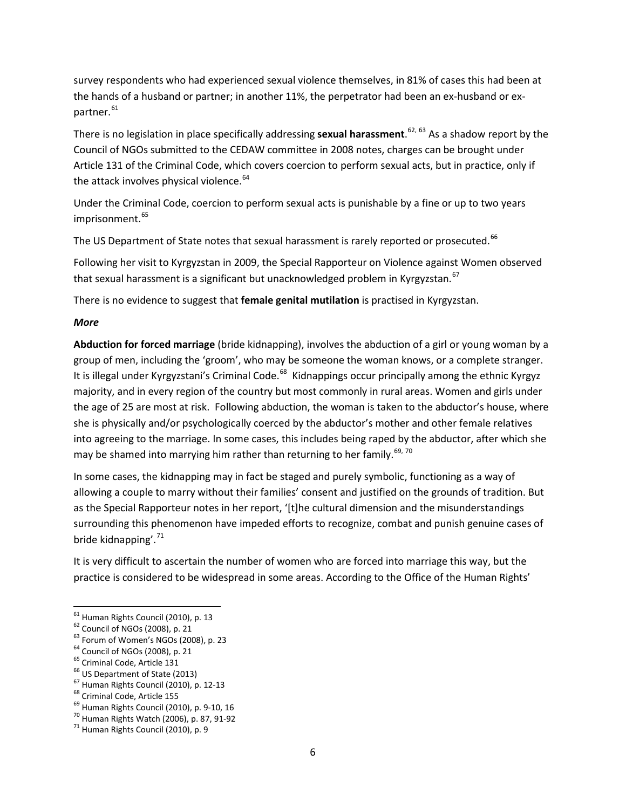survey respondents who had experienced sexual violence themselves, in 81% of cases this had been at the hands of a husband or partner; in another 11%, the perpetrator had been an ex-husband or ex-partner.<sup>[61](#page-5-0)</sup>

There is no legislation in place specifically addressing **sexual harassment**. [62,](#page-5-1) [63](#page-5-2) As a shadow report by the Council of NGOs submitted to the CEDAW committee in 2008 notes, charges can be brought under Article 131 of the Criminal Code, which covers coercion to perform sexual acts, but in practice, only if the attack involves physical violence. $64$ 

Under the Criminal Code, coercion to perform sexual acts is punishable by a fine or up to two years imprisonment.<sup>[65](#page-5-4)</sup>

The US Department of State notes that sexual harassment is rarely reported or prosecuted.<sup>[66](#page-5-5)</sup>

Following her visit to Kyrgyzstan in 2009, the Special Rapporteur on Violence against Women observed that sexual harassment is a significant but unacknowledged problem in Kyrgyzstan.<sup>[67](#page-5-6)</sup>

There is no evidence to suggest that **female genital mutilation** is practised in Kyrgyzstan.

#### *More*

**Abduction for forced marriage** (bride kidnapping), involves the abduction of a girl or young woman by a group of men, including the 'groom', who may be someone the woman knows, or a complete stranger. It is illegal under Kyrgyzstani's Criminal Code.<sup>68</sup> Kidnappings occur principally among the ethnic Kyrgyz majority, and in every region of the country but most commonly in rural areas. Women and girls under the age of 25 are most at risk. Following abduction, the woman is taken to the abductor's house, where she is physically and/or psychologically coerced by the abductor's mother and other female relatives into agreeing to the marriage. In some cases, this includes being raped by the abductor, after which she may be shamed into marrying him rather than returning to her family.<sup>[69,](#page-5-8) [70](#page-5-9)</sup>

In some cases, the kidnapping may in fact be staged and purely symbolic, functioning as a way of allowing a couple to marry without their families' consent and justified on the grounds of tradition. But as the Special Rapporteur notes in her report, '[t]he cultural dimension and the misunderstandings surrounding this phenomenon have impeded efforts to recognize, combat and punish genuine cases of bride kidnapping'.<sup>[71](#page-5-10)</sup>

It is very difficult to ascertain the number of women who are forced into marriage this way, but the practice is considered to be widespread in some areas. According to the Office of the Human Rights'

<span id="page-5-0"></span>

<span id="page-5-2"></span><span id="page-5-1"></span>

 $\xi_1$  Human Rights Council (2010), p. 13<br>  $\xi_2$  Council of NGOs (2008), p. 21<br>  $\xi_3$  Forum of Women's NGOs (2008), p. 23<br>  $\xi_4$  Council of NGOs (2008), p. 21<br>  $\xi_5$  Council of NGOs (2008), p. 21<br>  $\xi_5$  Council of NG

<span id="page-5-3"></span>

<span id="page-5-4"></span>

<span id="page-5-6"></span><span id="page-5-5"></span>

<span id="page-5-7"></span>

<span id="page-5-8"></span>

<span id="page-5-9"></span>

<span id="page-5-10"></span>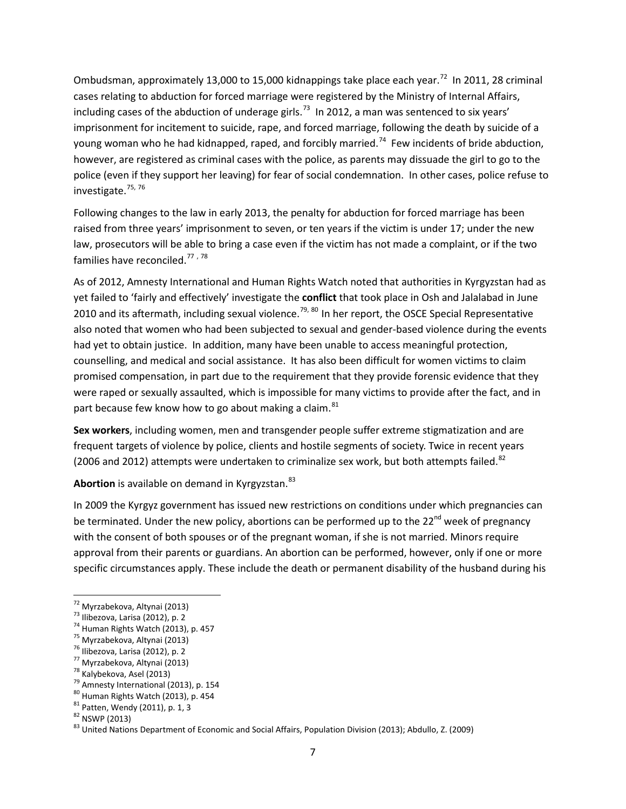Ombudsman, approximately 13,000 to 15,000 kidnappings take place each year.<sup>72</sup> In 2011, 28 criminal cases relating to abduction for forced marriage were registered by the Ministry of Internal Affairs, including cases of the abduction of underage girls.<sup>[73](#page-6-1)</sup> In 2012, a man was sentenced to six years' imprisonment for incitement to suicide, rape, and forced marriage, following the death by suicide of a young woman who he had kidnapped, raped, and forcibly married.<sup>74</sup> Few incidents of bride abduction, however, are registered as criminal cases with the police, as parents may dissuade the girl to go to the police (even if they support her leaving) for fear of social condemnation. In other cases, police refuse to investigate.<sup>[75](#page-6-3), [76](#page-6-4)</sup>

Following changes to the law in early 2013, the penalty for abduction for forced marriage has been raised from three years' imprisonment to seven, or ten years if the victim is under 17; under the new law, prosecutors will be able to bring a case even if the victim has not made a complaint, or if the two families have reconciled.<sup>[77](#page-6-5),[78](#page-6-6)</sup>

As of 2012, Amnesty International and Human Rights Watch noted that authorities in Kyrgyzstan had as yet failed to 'fairly and effectively' investigate the **conflict** that took place in Osh and Jalalabad in June 2010 and its aftermath, including sexual violence.<sup>[79,](#page-6-7) [80](#page-6-8)</sup> In her report, the OSCE Special Representative also noted that women who had been subjected to sexual and gender-based violence during the events had yet to obtain justice. In addition, many have been unable to access meaningful protection, counselling, and medical and social assistance. It has also been difficult for women victims to claim promised compensation, in part due to the requirement that they provide forensic evidence that they were raped or sexually assaulted, which is impossible for many victims to provide after the fact, and in part because few know how to go about making a claim. $81$ 

**Sex workers**, including women, men and transgender people suffer extreme stigmatization and are frequent targets of violence by police, clients and hostile segments of society. Twice in recent years (2006 and 2012) attempts were undertaken to criminalize sex work, but both attempts failed.<sup>[82](#page-6-10)</sup>

Abortion is available on demand in Kyrgyzstan.<sup>[83](#page-6-11)</sup>

In 2009 the Kyrgyz government has issued new restrictions on conditions under which pregnancies can be terminated. Under the new policy, abortions can be performed up to the  $22^{nd}$  week of pregnancy with the consent of both spouses or of the pregnant woman, if she is not married. Minors require approval from their parents or guardians. An abortion can be performed, however, only if one or more specific circumstances apply. These include the death or permanent disability of the husband during his

- <span id="page-6-5"></span>
- <span id="page-6-6"></span>
- <span id="page-6-7"></span>

<span id="page-6-1"></span><span id="page-6-0"></span>

<span id="page-6-2"></span>

<span id="page-6-3"></span>

<span id="page-6-4"></span>

<span id="page-6-8"></span>

<span id="page-6-9"></span>

<span id="page-6-11"></span><span id="page-6-10"></span>

<sup>&</sup>lt;sup>72</sup> Myrzabekova, Altynai (2013)<br>
<sup>73</sup> Ilibezova, Larisa (2012), p. 2<br>
<sup>75</sup> Human Rights Watch (2013), p. 457<br>
<sup>76</sup> Myrzabekova, Altynai (2013)<br>
<sup>77</sup> Myrzabekova, Altynai (2013)<br>
<sup>77</sup> Myrzabekova, Asel (2013)<br>
<sup>78</sup> Ammest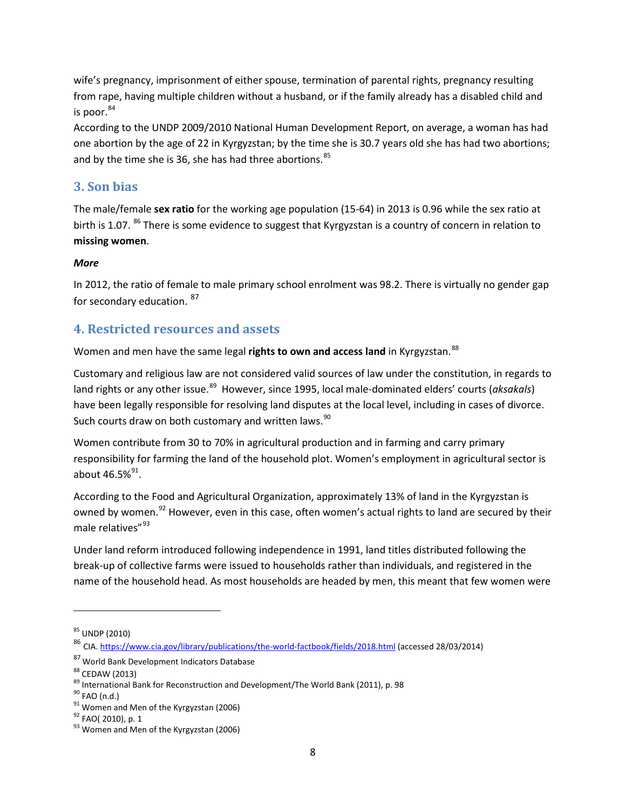wife's pregnancy, imprisonment of either spouse, termination of parental rights, pregnancy resulting from rape, having multiple children without a husband, or if the family already has a disabled child and is poor. $84$ 

According to the UNDP 2009/2010 National Human Development Report, on average, a woman has had one abortion by the age of 22 in Kyrgyzstan; by the time she is 30.7 years old she has had two abortions; and by the time she is 36, she has had three abortions.<sup>[85](#page-7-1)</sup>

### **3. Son bias**

The male/female **sex ratio** for the working age population (15-64) in 2013 is 0.96 while the sex ratio at birth is 1.07. <sup>[86](#page-7-2)</sup> There is some evidence to suggest that Kyrgyzstan is a country of concern in relation to **missing women**.

### *More*

In 2012, the ratio of female to male primary school enrolment was 98.2. There is virtually no gender gap for secondary education. <sup>[87](#page-7-3)</sup>

# **4. Restricted resources and assets**

Women and men have the same legal **rights to own and access land** in Kyrgyzstan.<sup>[88](#page-7-4)</sup>

Customary and religious law are not considered valid sources of law under the constitution, in regards to land rights or any other issue.<sup>89</sup> However, since 1995, local male-dominated elders' courts (*aksakals*) have been legally responsible for resolving land disputes at the local level, including in cases of divorce. Such courts draw on both customary and written laws.<sup>[90](#page-7-6)</sup>

Women contribute from 30 to 70% in agricultural production and in farming and carry primary responsibility for farming the land of the household plot. Women's employment in agricultural sector is about  $46.5\%^{91}$ .

According to the Food and Agricultural Organization, approximately 13% of land in the Kyrgyzstan is owned by women.<sup>[92](#page-7-8)</sup> However, even in this case, often women's actual rights to land are secured by their male relatives"<sup>[93](#page-7-9)</sup>

Under land reform introduced following independence in 1991, land titles distributed following the break-up of collective farms were issued to households rather than individuals, and registered in the name of the household head. As most households are headed by men, this meant that few women were

l

<span id="page-7-1"></span><span id="page-7-0"></span> $85$  UNDP (2010)

<span id="page-7-2"></span><sup>86</sup> CIA.<https://www.cia.gov/library/publications/the-world-factbook/fields/2018.html> (accessed 28/03/2014)

<span id="page-7-3"></span><sup>87</sup> World Bank Development Indicators Database

<span id="page-7-5"></span><span id="page-7-4"></span><sup>&</sup>lt;sup>88</sup> CEDAW (2013)<br><sup>89</sup> International Bank for Reconstruction and Development/The World Bank (2011), p. 98<br><sup>90</sup> FAO (n.d.)<br><sup>91</sup> Women and Men of the Kyrgyzstan (2006)<br><sup>92</sup> FAO( 2010), p. 1<br><sup>93</sup> Women and Men of the Kyrgyzs

<span id="page-7-6"></span>

<span id="page-7-7"></span>

<span id="page-7-8"></span>

<span id="page-7-9"></span>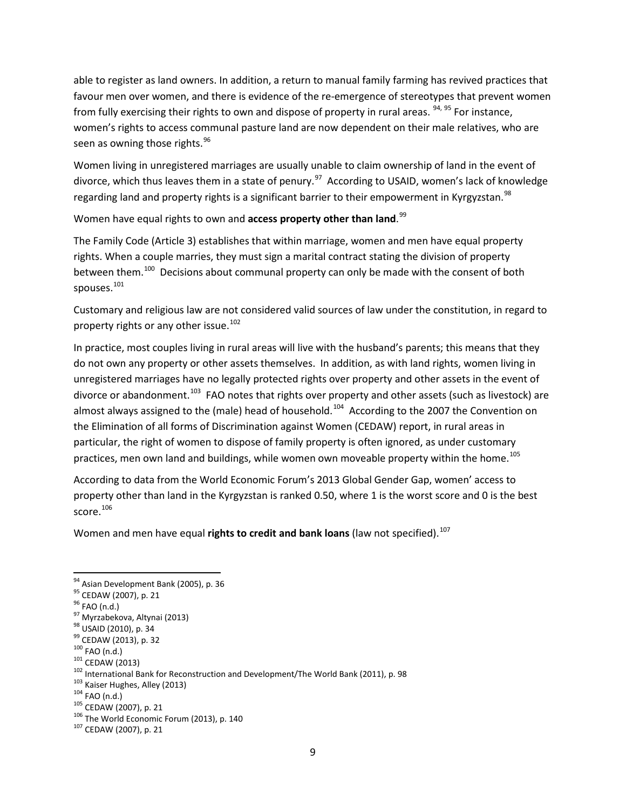able to register as land owners. In addition, a return to manual family farming has revived practices that favour men over women, and there is evidence of the re-emergence of stereotypes that prevent women from fully exercising their rights to own and dispose of property in rural areas.  $94, 95$  $94, 95$  $94, 95$  For instance, women's rights to access communal pasture land are now dependent on their male relatives, who are seen as owning those rights.<sup>[96](#page-8-2)</sup>

Women living in unregistered marriages are usually unable to claim ownership of land in the event of divorce, which thus leaves them in a state of penury.<sup>[97](#page-8-3)</sup> According to USAID, women's lack of knowledge regarding land and property rights is a significant barrier to their empowerment in Kyrgyzstan.<sup>[98](#page-8-4)</sup>

Women have equal rights to own and **access property other than land**. [99](#page-8-5)

The Family Code (Article 3) establishes that within marriage, women and men have equal property rights. When a couple marries, they must sign a marital contract stating the division of property between them.<sup>[100](#page-8-6)</sup> Decisions about communal property can only be made with the consent of both spouses.<sup>[101](#page-8-7)</sup>

Customary and religious law are not considered valid sources of law under the constitution, in regard to property rights or any other issue.<sup>[102](#page-8-8)</sup>

In practice, most couples living in rural areas will live with the husband's parents; this means that they do not own any property or other assets themselves. In addition, as with land rights, women living in unregistered marriages have no legally protected rights over property and other assets in the event of divorce or abandonment.<sup>103</sup> FAO notes that rights over property and other assets (such as livestock) are almost always assigned to the (male) head of household.<sup>[104](#page-8-10)</sup> According to the 2007 the Convention on the Elimination of all forms of Discrimination against Women (CEDAW) report, in rural areas in particular, the right of women to dispose of family property is often ignored, as under customary practices, men own land and buildings, while women own moveable property within the home.<sup>[105](#page-8-11)</sup>

According to data from the World Economic Forum's 2013 Global Gender Gap, women' access to property other than land in the Kyrgyzstan is ranked 0.50, where 1 is the worst score and 0 is the best score.<sup>[106](#page-8-12)</sup>

Women and men have equal **rights to credit and bank loans** (law not specified). [107](#page-8-13)

<span id="page-8-0"></span>

<span id="page-8-1"></span>

<span id="page-8-2"></span>

<span id="page-8-3"></span>

<span id="page-8-4"></span>

<span id="page-8-5"></span>

<span id="page-8-6"></span>

<span id="page-8-8"></span><span id="page-8-7"></span>

<sup>&</sup>lt;sup>94</sup> Asian Development Bank (2005), p. 36<br><sup>95</sup> CEDAW (2007), p. 21<br><sup>96</sup> FAO (n.d.)<br><sup>97</sup> Myrzabekova, Altynai (2013)<br><sup>99</sup> USAD (2010), p. 34<br><sup>99</sup> CEDAW (2013), p. 32<br><sup>100</sup> FAO (n.d.)<br><sup>101</sup> CEDAW (2013)<br><sup>102</sup> International B

<span id="page-8-9"></span>

<span id="page-8-10"></span>

<span id="page-8-11"></span>

<span id="page-8-13"></span><span id="page-8-12"></span>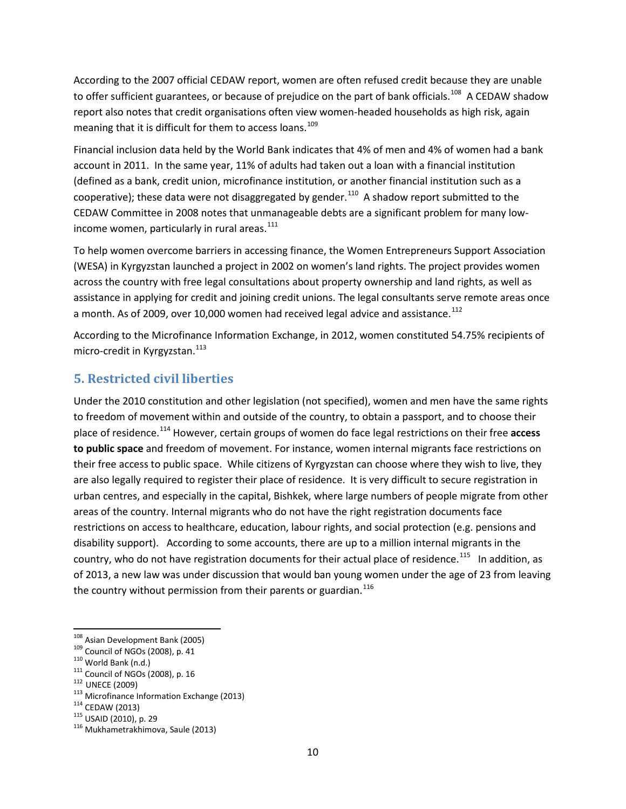According to the 2007 official CEDAW report, women are often refused credit because they are unable to offer sufficient guarantees, or because of prejudice on the part of bank officials.<sup>[108](#page-9-0)</sup> A CEDAW shadow report also notes that credit organisations often view women-headed households as high risk, again meaning that it is difficult for them to access loans.<sup>[109](#page-9-1)</sup>

Financial inclusion data held by the World Bank indicates that 4% of men and 4% of women had a bank account in 2011. In the same year, 11% of adults had taken out a loan with a financial institution (defined as a bank, credit union, microfinance institution, or another financial institution such as a cooperative); these data were not disaggregated by gender.<sup>110</sup> A shadow report submitted to the CEDAW Committee in 2008 notes that unmanageable debts are a significant problem for many low-income women, particularly in rural areas.<sup>[111](#page-9-3)</sup>

To help women overcome barriers in accessing finance, the Women Entrepreneurs Support Association (WESA) in Kyrgyzstan launched a project in 2002 on women's land rights. The project provides women across the country with free legal consultations about property ownership and land rights, as well as assistance in applying for credit and joining credit unions. The legal consultants serve remote areas once a month. As of 2009, over 10,000 women had received legal advice and assistance.<sup>[112](#page-9-4)</sup>

According to the Microfinance Information Exchange, in 2012, women constituted 54.75% recipients of micro-credit in Kyrgyzstan.<sup>[113](#page-9-5)</sup>

# **5. Restricted civil liberties**

Under the 2010 constitution and other legislation (not specified), women and men have the same rights to freedom of movement within and outside of the country, to obtain a passport, and to choose their place of residence.[114](#page-9-6) However, certain groups of women do face legal restrictions on their free **access to public space** and freedom of movement. For instance, women internal migrants face restrictions on their free access to public space. While citizens of Kyrgyzstan can choose where they wish to live, they are also legally required to register their place of residence. It is very difficult to secure registration in urban centres, and especially in the capital, Bishkek, where large numbers of people migrate from other areas of the country. Internal migrants who do not have the right registration documents face restrictions on access to healthcare, education, labour rights, and social protection (e.g. pensions and disability support). According to some accounts, there are up to a million internal migrants in the country, who do not have registration documents for their actual place of residence.<sup>[115](#page-9-7)</sup> In addition, as of 2013, a new law was under discussion that would ban young women under the age of 23 from leaving the country without permission from their parents or guardian. $116$ 

<span id="page-9-2"></span>

<span id="page-9-3"></span>

<span id="page-9-5"></span><span id="page-9-4"></span>

<span id="page-9-1"></span><span id="page-9-0"></span><sup>&</sup>lt;sup>108</sup> Asian Development Bank (2005)<br><sup>109</sup> Council of NGOs (2008), p. 41<br><sup>110</sup> World Bank (n.d.)<br><sup>111</sup> Council of NGOs (2008), p. 16<br><sup>112</sup> UNECE (2009)<br><sup>113</sup> Microfinance Information Exchange (2013)<br><sup>114</sup> CEDAW (2013)<br><sup>115</sup>

<span id="page-9-7"></span><span id="page-9-6"></span>

<span id="page-9-8"></span>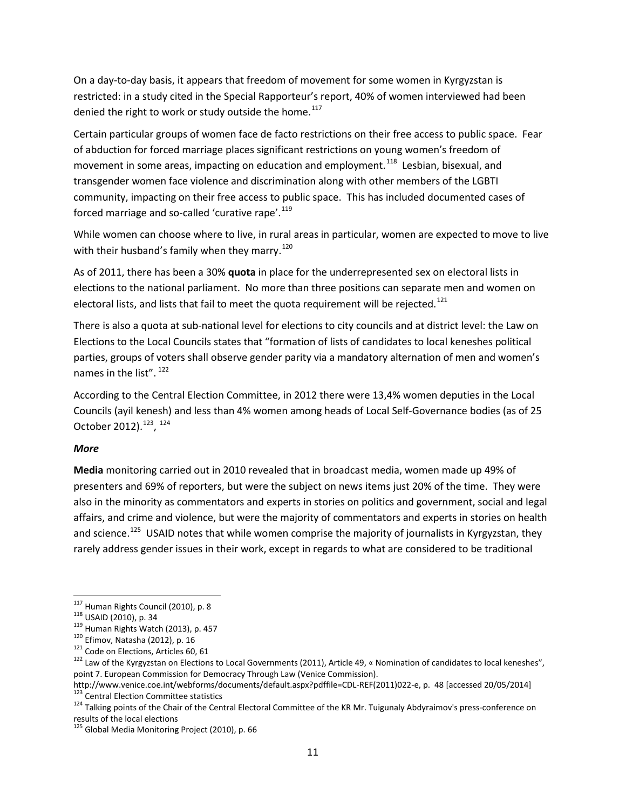On a day-to-day basis, it appears that freedom of movement for some women in Kyrgyzstan is restricted: in a study cited in the Special Rapporteur's report, 40% of women interviewed had been denied the right to work or study outside the home.<sup>[117](#page-10-0)</sup>

Certain particular groups of women face de facto restrictions on their free access to public space. Fear of abduction for forced marriage places significant restrictions on young women's freedom of movement in some areas, impacting on education and employment.<sup>[118](#page-10-1)</sup> Lesbian, bisexual, and transgender women face violence and discrimination along with other members of the LGBTI community, impacting on their free access to public space. This has included documented cases of forced marriage and so-called 'curative rape'.<sup>[119](#page-10-2)</sup>

While women can choose where to live, in rural areas in particular, women are expected to move to live with their husband's family when they marry.<sup>[120](#page-10-3)</sup>

As of 2011, there has been a 30% **quota** in place for the underrepresented sex on electoral lists in elections to the national parliament. No more than three positions can separate men and women on electoral lists, and lists that fail to meet the quota requirement will be rejected.<sup>[121](#page-10-4)</sup>

There is also a quota at sub-national level for elections to city councils and at district level: the Law on Elections to the Local Councils states that "formation of lists of candidates to local keneshes political parties, groups of voters shall observe gender parity via a mandatory alternation of men and women's names in the list". <sup>[122](#page-10-5)</sup>

According to the Central Election Committee, in 2012 there were 13,4% women deputies in the Local Councils (ayil kenesh) and less than 4% women among heads of Local Self-Governance bodies (as of 25 October 2012).<sup>[123](#page-10-6)</sup>, <sup>[124](#page-10-7)</sup>

#### *More*

**Media** monitoring carried out in 2010 revealed that in broadcast media, women made up 49% of presenters and 69% of reporters, but were the subject on news items just 20% of the time. They were also in the minority as commentators and experts in stories on politics and government, social and legal affairs, and crime and violence, but were the majority of commentators and experts in stories on health and science.<sup>125</sup> USAID notes that while women comprise the majority of journalists in Kyrgyzstan, they rarely address gender issues in their work, except in regards to what are considered to be traditional

<span id="page-10-2"></span>

<span id="page-10-3"></span>

<span id="page-10-5"></span><span id="page-10-4"></span>

<span id="page-10-1"></span><span id="page-10-0"></span><sup>&</sup>lt;sup>117</sup> Human Rights Council (2010), p. 8<br><sup>118</sup> USAID (2010), p. 34<br><sup>119</sup> Human Rights Watch (2013), p. 457<br><sup>120</sup> Efimov, Natasha (2012), p. 16<br><sup>121</sup> Code on Elections, Articles 60, 61<br><sup>122</sup> Law of the Kyrgyzstan on Electio point 7. European Commission for Democracy Through Law (Venice Commission).

<span id="page-10-7"></span><span id="page-10-6"></span>[http://www.venice.coe.int/webforms/documents/default.aspx?pdffile=CDL-REF\(2011\)022-e,](http://www.venice.coe.int/webforms/documents/default.aspx?pdffile=CDL-REF(2011)022-e) p. 48 [accessed 20/05/2014]<br><sup>123</sup> Central Election Committee statistics<br><sup>124</sup> Talking points of the Chair of the Central Electoral Commi

<span id="page-10-8"></span><sup>&</sup>lt;sup>125</sup> Global Media Monitoring Project (2010), p. 66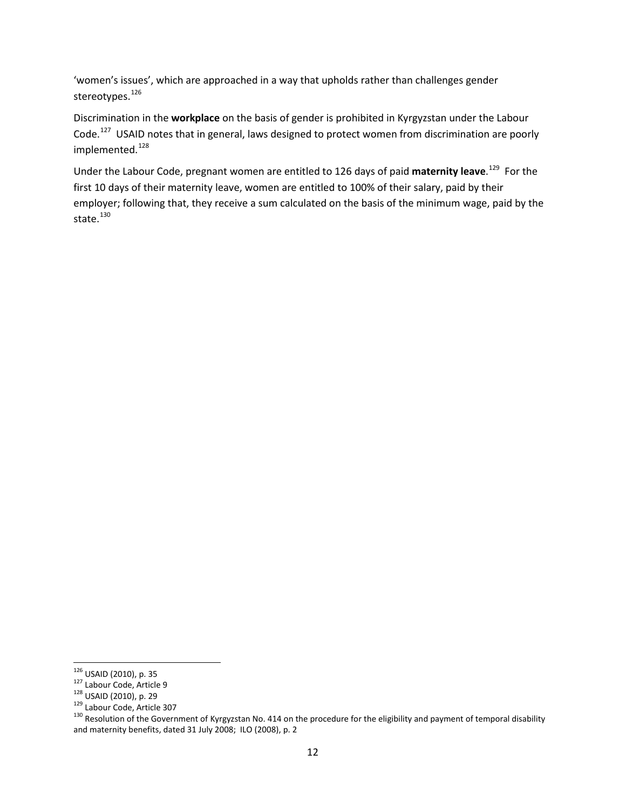'women's issues', which are approached in a way that upholds rather than challenges gender stereotypes.<sup>[126](#page-11-0)</sup>

Discrimination in the **workplace** on the basis of gender is prohibited in Kyrgyzstan under the Labour Code.<sup>127</sup> USAID notes that in general, laws designed to protect women from discrimination are poorly implemented.<sup>[128](#page-11-2)</sup>

Under the Labour Code, pregnant women are entitled to 126 days of paid **maternity leave**. [129](#page-11-3) For the first 10 days of their maternity leave, women are entitled to 100% of their salary, paid by their employer; following that, they receive a sum calculated on the basis of the minimum wage, paid by the state. $130$ 

<span id="page-11-2"></span>

<span id="page-11-4"></span><span id="page-11-3"></span>

<span id="page-11-1"></span><span id="page-11-0"></span><sup>&</sup>lt;sup>126</sup> USAID (2010), p. 35<br><sup>127</sup> Labour Code, Article 9<br><sup>128</sup> USAID (2010), p. 29<br><sup>129</sup> Labour Code, Article 307<br><sup>130</sup> Resolution of the Government of Kyrgyzstan No. 414 on the procedure for the eligibility and payment of t and maternity benefits, dated 31 July 2008; ILO (2008), p. 2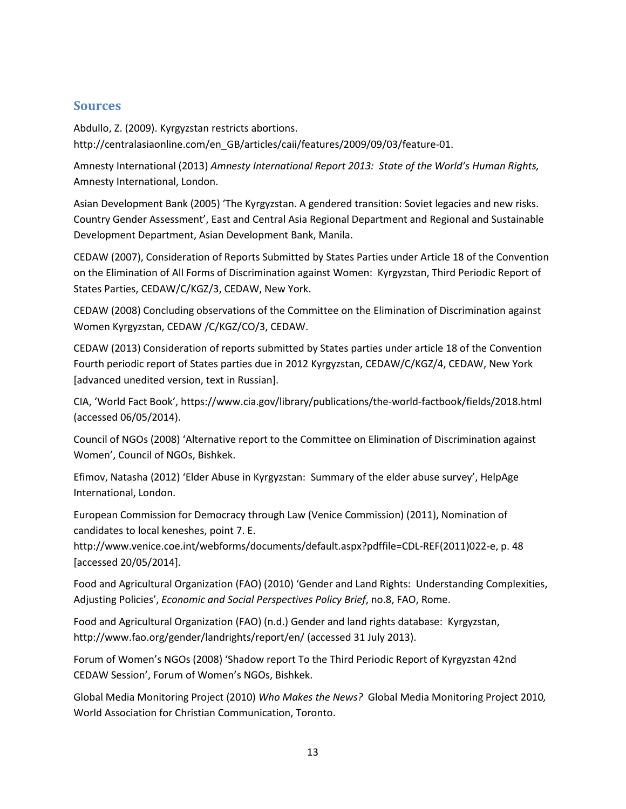#### **Sources**

Abdullo, Z. (2009). Kyrgyzstan restricts abortions. http://centralasiaonline.com/en\_GB/articles/caii/features/2009/09/03/feature-01.

Amnesty International (2013) *Amnesty International Report 2013: State of the World's Human Rights,*  Amnesty International, London.

Asian Development Bank (2005) 'The Kyrgyzstan. A gendered transition: Soviet legacies and new risks. Country Gender Assessment', East and Central Asia Regional Department and Regional and Sustainable Development Department, Asian Development Bank, Manila.

CEDAW (2007), Consideration of Reports Submitted by States Parties under Article 18 of the Convention on the Elimination of All Forms of Discrimination against Women: Kyrgyzstan, Third Periodic Report of States Parties, CEDAW/C/KGZ/3, CEDAW, New York.

CEDAW (2008) Concluding observations of the Committee on the Elimination of Discrimination against Women Kyrgyzstan, CEDAW /C/KGZ/CO/3, CEDAW.

CEDAW (2013) Consideration of reports submitted by States parties under article 18 of the Convention Fourth periodic report of States parties due in 2012 Kyrgyzstan, CEDAW/C/KGZ/4, CEDAW, New York [advanced unedited version, text in Russian].

CIA, 'World Fact Book', <https://www.cia.gov/library/publications/the-world-factbook/fields/2018.html> (accessed 06/05/2014).

Council of NGOs (2008) 'Alternative report to the Committee on Elimination of Discrimination against Women', Council of NGOs, Bishkek.

Efimov, Natasha (2012) 'Elder Abuse in Kyrgyzstan: Summary of the elder abuse survey', HelpAge International, London.

European Commission for Democracy through Law (Venice Commission) (2011), Nomination of candidates to local keneshes, point 7. E.

[http://www.venice.coe.int/webforms/documents/default.aspx?pdffile=CDL-REF\(2011\)022-e,](http://www.venice.coe.int/webforms/documents/default.aspx?pdffile=CDL-REF(2011)022-e) p. 48 [accessed 20/05/2014].

Food and Agricultural Organization (FAO) (2010) 'Gender and Land Rights: Understanding Complexities, Adjusting Policies', *Economic and Social Perspectives Policy Brief*, no.8, FAO, Rome.

Food and Agricultural Organization (FAO) (n.d.) Gender and land rights database: Kyrgyzstan, <http://www.fao.org/gender/landrights/report/en/> (accessed 31 July 2013).

Forum of Women's NGOs (2008) 'Shadow report To the Third Periodic Report of Kyrgyzstan 42nd CEDAW Session', Forum of Women's NGOs, Bishkek.

Global Media Monitoring Project (2010) *Who Makes the News?* Global Media Monitoring Project 2010*,*  World Association for Christian Communication, Toronto.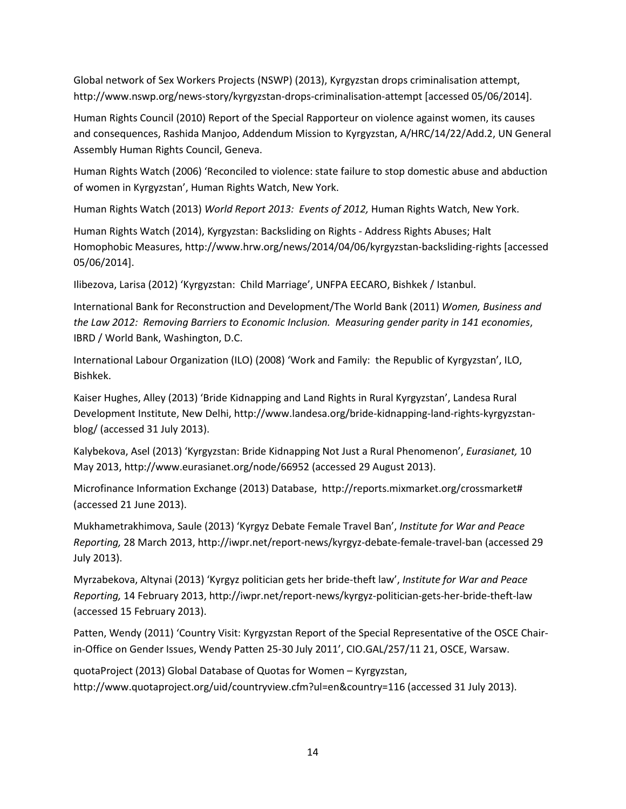Global network of Sex Workers Projects (NSWP) (2013), Kyrgyzstan drops criminalisation attempt, <http://www.nswp.org/news-story/kyrgyzstan-drops-criminalisation-attempt> [accessed 05/06/2014].

Human Rights Council (2010) Report of the Special Rapporteur on violence against women, its causes and consequences, Rashida Manjoo, Addendum Mission to Kyrgyzstan, A/HRC/14/22/Add.2, UN General Assembly Human Rights Council, Geneva.

Human Rights Watch (2006) 'Reconciled to violence: state failure to stop domestic abuse and abduction of women in Kyrgyzstan', Human Rights Watch, New York.

Human Rights Watch (2013) *World Report 2013: Events of 2012,* Human Rights Watch, New York.

Human Rights Watch (2014)[, Kyrgyzstan: Backsliding on Rights](http://www.hrw.org/news/2014/04/06/kyrgyzstan-backsliding-rights) - Address Rights Abuses; Halt Homophobic Measures,<http://www.hrw.org/news/2014/04/06/kyrgyzstan-backsliding-rights> [accessed 05/06/2014].

Ilibezova, Larisa (2012) 'Kyrgyzstan: Child Marriage', UNFPA EECARO, Bishkek / Istanbul.

International Bank for Reconstruction and Development/The World Bank (2011) *Women, Business and the Law 2012: Removing Barriers to Economic Inclusion. Measuring gender parity in 141 economies*, IBRD / World Bank, Washington, D.C.

International Labour Organization (ILO) (2008) 'Work and Family: the Republic of Kyrgyzstan', ILO, Bishkek.

Kaiser Hughes, Alley (2013) 'Bride Kidnapping and Land Rights in Rural Kyrgyzstan', Landesa Rural Development Institute, New Delhi, [http://www.landesa.org/bride-kidnapping-land-rights-kyrgyzstan](http://www.landesa.org/bride-kidnapping-land-rights-kyrgyzstan-blog/)[blog/](http://www.landesa.org/bride-kidnapping-land-rights-kyrgyzstan-blog/) (accessed 31 July 2013).

Kalybekova, Asel (2013) 'Kyrgyzstan: Bride Kidnapping Not Just a Rural Phenomenon', *Eurasianet,* 10 May 2013[, http://www.eurasianet.org/node/66952](http://www.eurasianet.org/node/66952) (accessed 29 August 2013).

Microfinance Information Exchange (2013) Database, [http://reports.mixmarket.org/crossmarket#](http://reports.mixmarket.org/crossmarket) (accessed 21 June 2013).

Mukhametrakhimova, Saule (2013) 'Kyrgyz Debate Female Travel Ban', *Institute for War and Peace Reporting,* 28 March 2013[, http://iwpr.net/report-news/kyrgyz-debate-female-travel-ban](http://iwpr.net/report-news/kyrgyz-debate-female-travel-ban) (accessed 29 July 2013).

Myrzabekova, Altynai (2013) 'Kyrgyz politician gets her bride-theft law', *Institute for War and Peace Reporting,* 14 February 2013[, http://iwpr.net/report-news/kyrgyz-politician-gets-her-bride-theft-law](http://iwpr.net/report-news/kyrgyz-politician-gets-her-bride-theft-law) (accessed 15 February 2013).

Patten, Wendy (2011) 'Country Visit: Kyrgyzstan Report of the Special Representative of the OSCE Chairin-Office on Gender Issues, Wendy Patten 25-30 July 2011', CIO.GAL/257/11 21, OSCE, Warsaw.

quotaProject (2013) Global Database of Quotas for Women – Kyrgyzstan, <http://www.quotaproject.org/uid/countryview.cfm?ul=en&country=116> (accessed 31 July 2013).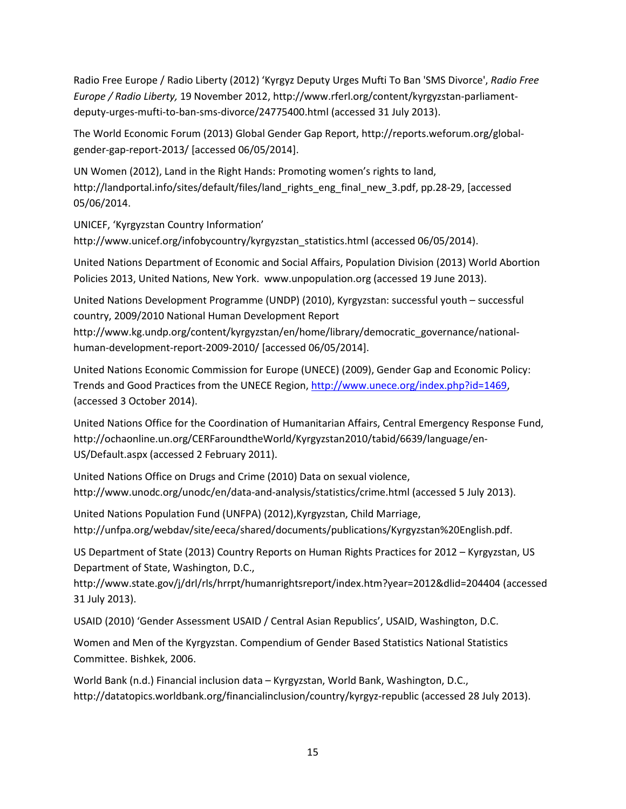Radio Free Europe / Radio Liberty (2012) 'Kyrgyz Deputy Urges Mufti To Ban 'SMS Divorce', *Radio Free Europe / Radio Liberty,* 19 November 2012, [http://www.rferl.org/content/kyrgyzstan-parliament](http://www.rferl.org/content/kyrgyzstan-parliament-deputy-urges-mufti-to-ban-sms-divorce/24775400.html)[deputy-urges-mufti-to-ban-sms-divorce/24775400.html](http://www.rferl.org/content/kyrgyzstan-parliament-deputy-urges-mufti-to-ban-sms-divorce/24775400.html) (accessed 31 July 2013).

The World Economic Forum (2013) Global Gender Gap Report[, http://reports.weforum.org/global](http://reports.weforum.org/global-gender-gap-report-2013/)[gender-gap-report-2013/](http://reports.weforum.org/global-gender-gap-report-2013/) [accessed 06/05/2014].

UN Women (2012), Land in the Right Hands: Promoting women's rights to land, [http://landportal.info/sites/default/files/land\\_rights\\_eng\\_final\\_new\\_3.pdf,](http://landportal.info/sites/default/files/land_rights_eng_final_new_3.pdf) pp.28-29, [accessed 05/06/2014.

UNICEF, 'Kyrgyzstan Country Information'

[http://www.unicef.org/infobycountry/kyrgyzstan\\_statistics.html](http://www.unicef.org/infobycountry/kyrgyzstan_statistics.html) (accessed 06/05/2014).

United Nations Department of Economic and Social Affairs, Population Division (2013) World Abortion Policies 2013, United Nations, New York. www.unpopulation.org (accessed 19 June 2013).

United Nations Development Programme (UNDP) (2010), Kyrgyzstan: successful youth – successful country, 2009/2010 National Human Development Report

http://www.kg.undp.org/content/kyrgyzstan/en/home/library/democratic\_governance/nationalhuman-development-report-2009-2010/ [accessed 06/05/2014].

United Nations Economic Commission for Europe (UNECE) (2009), Gender Gap and Economic Policy: Trends and Good Practices from the UNECE Region, [http://www.unece.org/index.php?id=1469,](http://www.unece.org/index.php?id=1469) (accessed 3 October 2014).

United Nations Office for the Coordination of Humanitarian Affairs, Central Emergency Response Fund, http://ochaonline.un.org/CERFaroundtheWorld/Kyrgyzstan2010/tabid/6639/language/en-US/Default.aspx (accessed 2 February 2011).

United Nations Office on Drugs and Crime (2010) Data on sexual violence, <http://www.unodc.org/unodc/en/data-and-analysis/statistics/crime.html> (accessed 5 July 2013).

United Nations Population Fund (UNFPA) (2012),Kyrgyzstan, Child Marriage, http://unfpa.org/webdav/site/eeca/shared/documents/publications/Kyrgyzstan%20English.pdf.

US Department of State (2013) Country Reports on Human Rights Practices for 2012 – Kyrgyzstan, US Department of State, Washington, D.C.,

<http://www.state.gov/j/drl/rls/hrrpt/humanrightsreport/index.htm?year=2012&dlid=204404> (accessed 31 July 2013).

USAID (2010) 'Gender Assessment USAID / Central Asian Republics', USAID, Washington, D.C.

Women and Men of the Kyrgyzstan. Compendium of Gender Based Statistics National Statistics Committee. Bishkek, 2006.

World Bank (n.d.) Financial inclusion data – Kyrgyzstan, World Bank, Washington, D.C., http://datatopics.worldbank.org/financialinclusion/country/kyrgyz-republic (accessed 28 July 2013).